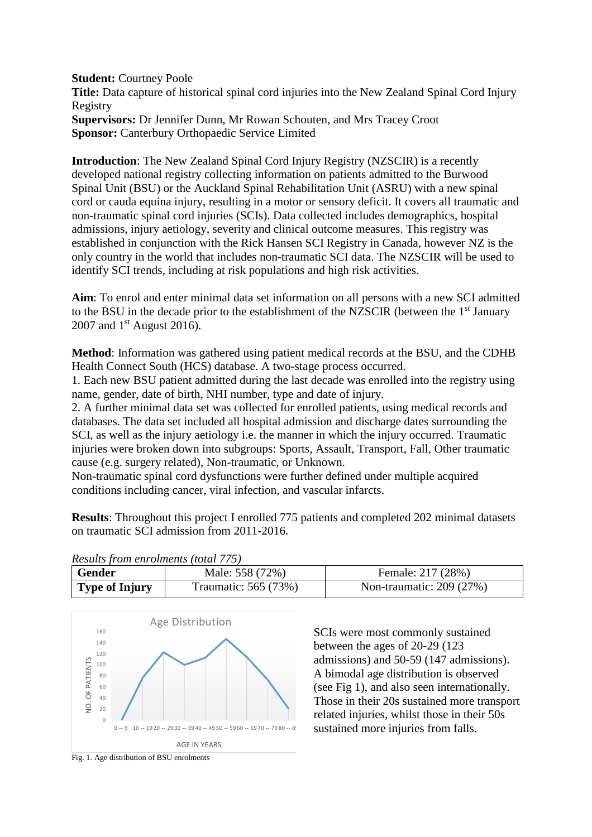**Student:** Courtney Poole **Title:** Data capture of historical spinal cord injuries into the New Zealand Spinal Cord Injury Registry **Supervisors:** Dr Jennifer Dunn, Mr Rowan Schouten, and Mrs Tracey Croot **Sponsor:** Canterbury Orthopaedic Service Limited

**Introduction**: The New Zealand Spinal Cord Injury Registry (NZSCIR) is a recently developed national registry collecting information on patients admitted to the Burwood Spinal Unit (BSU) or the Auckland Spinal Rehabilitation Unit (ASRU) with a new spinal cord or cauda equina injury, resulting in a motor or sensory deficit. It covers all traumatic and non-traumatic spinal cord injuries (SCIs). Data collected includes demographics, hospital admissions, injury aetiology, severity and clinical outcome measures. This registry was established in conjunction with the Rick Hansen SCI Registry in Canada, however NZ is the only country in the world that includes non-traumatic SCI data. The NZSCIR will be used to identify SCI trends, including at risk populations and high risk activities.

**Aim**: To enrol and enter minimal data set information on all persons with a new SCI admitted to the BSU in the decade prior to the establishment of the NZSCIR (between the 1<sup>st</sup> January 2007 and  $1<sup>st</sup>$  August 2016).

**Method**: Information was gathered using patient medical records at the BSU, and the CDHB Health Connect South (HCS) database. A two-stage process occurred.

1. Each new BSU patient admitted during the last decade was enrolled into the registry using name, gender, date of birth, NHI number, type and date of injury.

2. A further minimal data set was collected for enrolled patients, using medical records and databases. The data set included all hospital admission and discharge dates surrounding the SCI, as well as the injury aetiology i.e. the manner in which the injury occurred. Traumatic injuries were broken down into subgroups: Sports, Assault, Transport, Fall, Other traumatic cause (e.g. surgery related), Non-traumatic, or Unknown.

Non-traumatic spinal cord dysfunctions were further defined under multiple acquired conditions including cancer, viral infection, and vascular infarcts.

**Results**: Throughout this project I enrolled 775 patients and completed 202 minimal datasets on traumatic SCI admission from 2011-2016.

| Gender         | Male: 558 (72%)      | Female: 217 (28%)        |  |  |
|----------------|----------------------|--------------------------|--|--|
| Type of Injury | Traumatic: 565 (73%) | Non-traumatic: 209 (27%) |  |  |
|                |                      |                          |  |  |





SCIs were most commonly sustained between the ages of 20-29 (123 admissions) and 50-59 (147 admissions). A bimodal age distribution is observed (see Fig 1), and also seen internationally. Those in their 20s sustained more transport related injuries, whilst those in their 50s sustained more injuries from falls.

Fig. 1. Age distribution of BSU enrolments